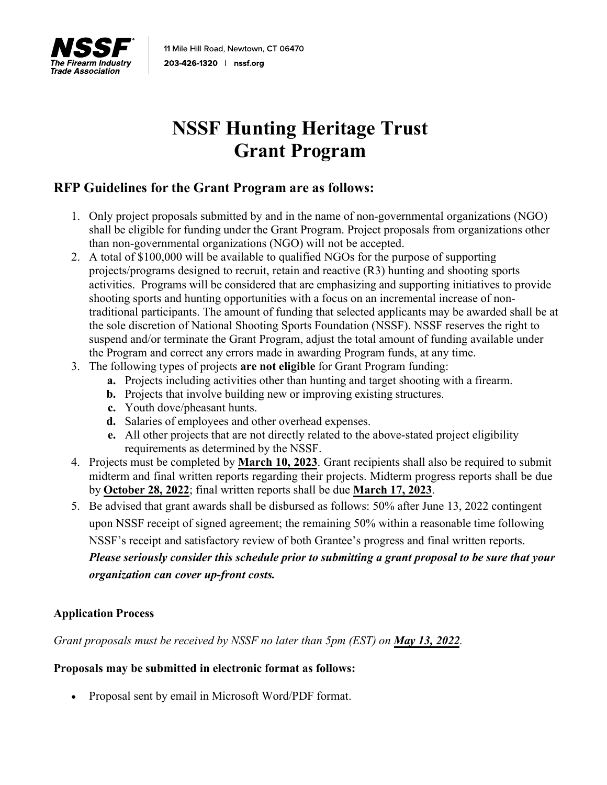

# **NSSF Hunting Heritage Trust Grant Program**

### **RFP Guidelines for the Grant Program are as follows:**

- 1. Only project proposals submitted by and in the name of non-governmental organizations (NGO) shall be eligible for funding under the Grant Program. Project proposals from organizations other than non-governmental organizations (NGO) will not be accepted.
- 2. A total of \$100,000 will be available to qualified NGOs for the purpose of supporting projects/programs designed to recruit, retain and reactive (R3) hunting and shooting sports activities. Programs will be considered that are emphasizing and supporting initiatives to provide shooting sports and hunting opportunities with a focus on an incremental increase of nontraditional participants. The amount of funding that selected applicants may be awarded shall be at the sole discretion of National Shooting Sports Foundation (NSSF). NSSF reserves the right to suspend and/or terminate the Grant Program, adjust the total amount of funding available under the Program and correct any errors made in awarding Program funds, at any time.
- 3. The following types of projects **are not eligible** for Grant Program funding:
	- **a.** Projects including activities other than hunting and target shooting with a firearm.
	- **b.** Projects that involve building new or improving existing structures.
	- **c.** Youth dove/pheasant hunts.
	- **d.** Salaries of employees and other overhead expenses.
	- **e.** All other projects that are not directly related to the above-stated project eligibility requirements as determined by the NSSF.
- 4. Projects must be completed by **March 10, 2023**. Grant recipients shall also be required to submit midterm and final written reports regarding their projects. Midterm progress reports shall be due by **October 28, 2022**; final written reports shall be due **March 17, 2023**.
- 5. Be advised that grant awards shall be disbursed as follows: 50% after June 13, 2022 contingent upon NSSF receipt of signed agreement; the remaining 50% within a reasonable time following NSSF's receipt and satisfactory review of both Grantee's progress and final written reports. *Please seriously consider this schedule prior to submitting a grant proposal to be sure that your*

*organization can cover up-front costs.*

### **Application Process**

*Grant proposals must be received by NSSF no later than 5pm (EST) on May 13, 2022.* 

#### **Proposals may be submitted in electronic format as follows:**

• Proposal sent by email in Microsoft Word/PDF format.